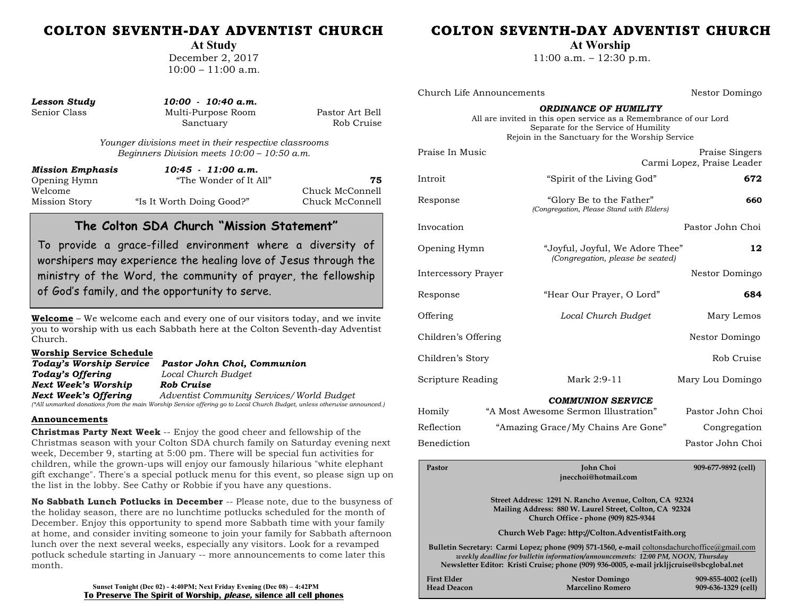# COLTON SEVENTH-DAY ADVENTIST CHURCH

**At Study**

December 2, 2017  $10:00 - 11:00$  a.m.

| <b>Lesson Study</b> |  |
|---------------------|--|
| Senior Class        |  |

*Lesson Study 10:00 - 10:40 a.m.*  Multi-Purpose Room Pastor Art Bell Sanctuary Rob Cruise

*Younger divisions meet in their respective classrooms Beginners Division meets 10:00 – 10:50 a.m.*

| Mission Emphasis | $10:45 - 11:00$ a.m.      |                 |
|------------------|---------------------------|-----------------|
| Opening Hymn     | "The Wonder of It All"    | 75              |
| Welcome          |                           | Chuck McConnell |
| Mission Story    | "Is It Worth Doing Good?" | Chuck McConnell |

# **The Colton SDA Church "Mission Statement"**

To provide a grace-filled environment where a diversity of worshipers may experience the healing love of Jesus through the ministry of the Word, the community of prayer, the fellowship of God's family, and the opportunity to serve.

**Welcome** – We welcome each and every one of our visitors today, and we invite you to worship with us each Sabbath here at the Colton Seventh-day Adventist Church.

#### **Worship Service Schedule**

| Today's Worship Service | Pastor John Choi, Communion                                                                                             |
|-------------------------|-------------------------------------------------------------------------------------------------------------------------|
| Today's Offering        | Local Church Budget                                                                                                     |
| Next Week's Worship     | Rob Cruise                                                                                                              |
| Next Week's Offering    | Adventist Community Services/World Budget                                                                               |
|                         | (*All unmarked donations from the main Worship Service offering go to Local Church Budget, unless otherwise announced.) |

#### **Announcements**

**Christmas Party Next Week** -- Enjoy the good cheer and fellowship of the Christmas season with your Colton SDA church family on Saturday evening next week, December 9, starting at 5:00 pm. There will be special fun activities for children, while the grown-ups will enjoy our famously hilarious "white elephant gift exchange". There's a special potluck menu for this event, so please sign up on the list in the lobby. See Cathy or Robbie if you have any questions.

**No Sabbath Lunch Potlucks in December** -- Please note, due to the busyness of the holiday season, there are no lunchtime potlucks scheduled for the month of December. Enjoy this opportunity to spend more Sabbath time with your family at home, and consider inviting someone to join your family for Sabbath afternoon lunch over the next several weeks, especially any visitors. Look for a revamped potluck schedule starting in January -- more announcements to come later this month.

> **Sunset Tonight (Dec 02) - 4:40PM; Next Friday Evening (Dec 08) – 4:42PM To Preserve The Spirit of Worship, please, silence all cell phones**

# COLTON SEVENTH-DAY ADVENTIST CHURCH

**At Worship**

11:00 a.m. – 12:30 p.m.

Church Life Announcements Nestor Domingo

#### *ORDINANCE OF HUMILITY*

All are invited in this open service as a Remembrance of our Lord Separate for the Service of Humility Rejoin in the Sanctuary for the Worship Service

| Praise In Music                                                                                                                                            |                                                                                                                                                                                                                                                                                | Praise Singers<br>Carmi Lopez, Praise Leader |  |  |
|------------------------------------------------------------------------------------------------------------------------------------------------------------|--------------------------------------------------------------------------------------------------------------------------------------------------------------------------------------------------------------------------------------------------------------------------------|----------------------------------------------|--|--|
| Introit                                                                                                                                                    | "Spirit of the Living God"                                                                                                                                                                                                                                                     | 672                                          |  |  |
| Response                                                                                                                                                   | "Glory Be to the Father"<br>(Congregation, Please Stand with Elders)                                                                                                                                                                                                           | 660                                          |  |  |
| Invocation                                                                                                                                                 |                                                                                                                                                                                                                                                                                | Pastor John Choi                             |  |  |
| Opening Hymn                                                                                                                                               | "Joyful, Joyful, We Adore Thee"<br>(Congregation, please be seated)                                                                                                                                                                                                            | 12                                           |  |  |
| <b>Intercessory Prayer</b>                                                                                                                                 |                                                                                                                                                                                                                                                                                | Nestor Domingo                               |  |  |
| Response                                                                                                                                                   | "Hear Our Prayer, O Lord"                                                                                                                                                                                                                                                      | 684                                          |  |  |
| Offering                                                                                                                                                   | Local Church Budget                                                                                                                                                                                                                                                            | Mary Lemos                                   |  |  |
| Children's Offering                                                                                                                                        |                                                                                                                                                                                                                                                                                | Nestor Domingo                               |  |  |
| Children's Story                                                                                                                                           |                                                                                                                                                                                                                                                                                | Rob Cruise                                   |  |  |
| Scripture Reading                                                                                                                                          | Mark 2:9-11                                                                                                                                                                                                                                                                    | Mary Lou Domingo                             |  |  |
|                                                                                                                                                            | <b>COMMUNION SERVICE</b>                                                                                                                                                                                                                                                       |                                              |  |  |
| Homily                                                                                                                                                     | "A Most Awesome Sermon Illustration"                                                                                                                                                                                                                                           | Pastor John Choi                             |  |  |
| Reflection                                                                                                                                                 | "Amazing Grace/My Chains Are Gone"                                                                                                                                                                                                                                             | Congregation                                 |  |  |
| Benediction                                                                                                                                                |                                                                                                                                                                                                                                                                                | Pastor John Choi                             |  |  |
| Pastor                                                                                                                                                     | <b>John Choi</b><br>jnecchoi@hotmail.com                                                                                                                                                                                                                                       | 909-677-9892 (cell)                          |  |  |
| Street Address: 1291 N. Rancho Avenue, Colton, CA 92324<br>Mailing Address: 880 W. Laurel Street, Colton, CA 92324<br>Church Office - phone (909) 825-9344 |                                                                                                                                                                                                                                                                                |                                              |  |  |
| Church Web Page: http://Colton.AdventistFaith.org                                                                                                          |                                                                                                                                                                                                                                                                                |                                              |  |  |
|                                                                                                                                                            | Bulletin Secretary: Carmi Lopez; phone (909) 571-1560, e-mail coltonsdachurchoffice@gmail.com<br>weekly deadline for bulletin information/announcements: 12:00 PM, NOON, Thursday<br>Newsletter Editor: Kristi Cruise; phone (909) 936-0005, e-mail jrkljjcruise@sbcglobal.net |                                              |  |  |
| <b>First Elder</b><br><b>Head Deacon</b>                                                                                                                   | <b>Nestor Domingo</b><br><b>Marcelino Romero</b>                                                                                                                                                                                                                               | 909-855-4002 (cell)<br>909-636-1329 (cell)   |  |  |